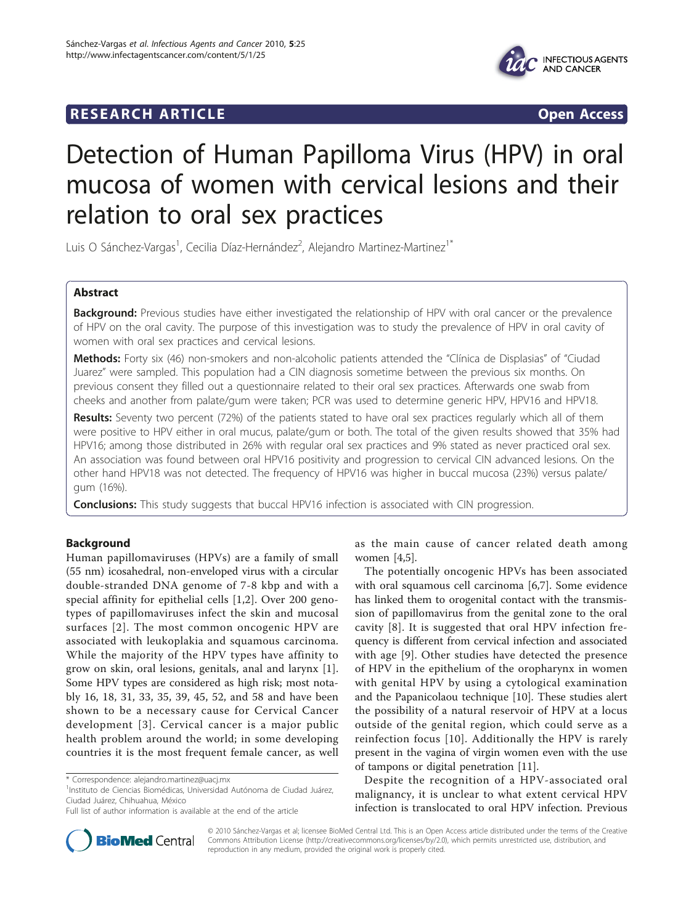# **RESEARCH ARTICLE Example 2018 CONSIDERING ACCESS**



# Detection of Human Papilloma Virus (HPV) in oral mucosa of women with cervical lesions and their relation to oral sex practices

Luis O Sánchez-Vargas<sup>1</sup>, Cecilia Díaz-Hernández<sup>2</sup>, Alejandro Martinez-Martinez<sup>1\*</sup>

# Abstract

Background: Previous studies have either investigated the relationship of HPV with oral cancer or the prevalence of HPV on the oral cavity. The purpose of this investigation was to study the prevalence of HPV in oral cavity of women with oral sex practices and cervical lesions.

Methods: Forty six (46) non-smokers and non-alcoholic patients attended the "Clínica de Displasias" of "Ciudad Juarez" were sampled. This population had a CIN diagnosis sometime between the previous six months. On previous consent they filled out a questionnaire related to their oral sex practices. Afterwards one swab from cheeks and another from palate/gum were taken; PCR was used to determine generic HPV, HPV16 and HPV18.

Results: Seventy two percent (72%) of the patients stated to have oral sex practices regularly which all of them were positive to HPV either in oral mucus, palate/gum or both. The total of the given results showed that 35% had HPV16; among those distributed in 26% with regular oral sex practices and 9% stated as never practiced oral sex. An association was found between oral HPV16 positivity and progression to cervical CIN advanced lesions. On the other hand HPV18 was not detected. The frequency of HPV16 was higher in buccal mucosa (23%) versus palate/ gum (16%).

**Conclusions:** This study suggests that buccal HPV16 infection is associated with CIN progression.

# Background

Human papillomaviruses (HPVs) are a family of small (55 nm) icosahedral, non-enveloped virus with a circular double-stranded DNA genome of 7-8 kbp and with a special affinity for epithelial cells [[1,2](#page-4-0)]. Over 200 genotypes of papillomaviruses infect the skin and mucosal surfaces [[2](#page-4-0)]. The most common oncogenic HPV are associated with leukoplakia and squamous carcinoma. While the majority of the HPV types have affinity to grow on skin, oral lesions, genitals, anal and larynx [\[1](#page-4-0)]. Some HPV types are considered as high risk; most notably 16, 18, 31, 33, 35, 39, 45, 52, and 58 and have been shown to be a necessary cause for Cervical Cancer development [[3](#page-4-0)]. Cervical cancer is a major public health problem around the world; in some developing countries it is the most frequent female cancer, as well

<sup>1</sup>Instituto de Ciencias Biomédicas, Universidad Autónoma de Ciudad Juárez, Ciudad Juárez, Chihuahua, México



The potentially oncogenic HPVs has been associated with oral squamous cell carcinoma [\[6,7](#page-4-0)]. Some evidence has linked them to orogenital contact with the transmission of papillomavirus from the genital zone to the oral cavity [[8\]](#page-4-0). It is suggested that oral HPV infection frequency is different from cervical infection and associated with age [[9\]](#page-4-0). Other studies have detected the presence of HPV in the epithelium of the oropharynx in women with genital HPV by using a cytological examination and the Papanicolaou technique [\[10\]](#page-4-0). These studies alert the possibility of a natural reservoir of HPV at a locus outside of the genital region, which could serve as a reinfection focus [[10\]](#page-4-0). Additionally the HPV is rarely present in the vagina of virgin women even with the use of tampons or digital penetration [[11](#page-4-0)].

Despite the recognition of a HPV-associated oral malignancy, it is unclear to what extent cervical HPV infection is translocated to oral HPV infection. Previous



© 2010 Sánchez-Vargas et al; licensee BioMed Central Ltd. This is an Open Access article distributed under the terms of the Creative Commons Attribution License [\(http://creativecommons.org/licenses/by/2.0](http://creativecommons.org/licenses/by/2.0)), which permits unrestricted use, distribution, and reproduction in any medium, provided the original work is properly cited.

<sup>\*</sup> Correspondence: [alejandro.martinez@uacj.mx](mailto:alejandro.martinez@uacj.mx)

Full list of author information is available at the end of the article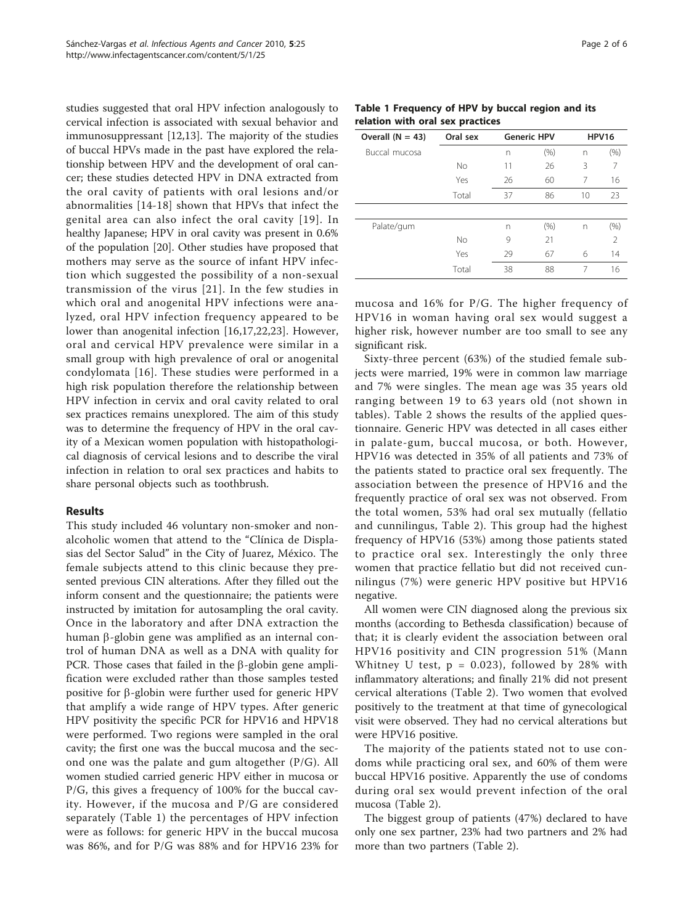studies suggested that oral HPV infection analogously to cervical infection is associated with sexual behavior and immunosuppressant [[12](#page-4-0),[13\]](#page-4-0). The majority of the studies of buccal HPVs made in the past have explored the relationship between HPV and the development of oral cancer; these studies detected HPV in DNA extracted from the oral cavity of patients with oral lesions and/or abnormalities [[14-18\]](#page-4-0) shown that HPVs that infect the genital area can also infect the oral cavity [[19\]](#page-4-0). In healthy Japanese; HPV in oral cavity was present in 0.6% of the population [\[20](#page-4-0)]. Other studies have proposed that mothers may serve as the source of infant HPV infection which suggested the possibility of a non-sexual transmission of the virus [[21](#page-5-0)]. In the few studies in which oral and anogenital HPV infections were analyzed, oral HPV infection frequency appeared to be lower than anogenital infection [\[16](#page-4-0),[17,](#page-4-0)[22,23](#page-5-0)]. However, oral and cervical HPV prevalence were similar in a small group with high prevalence of oral or anogenital condylomata [[16](#page-4-0)]. These studies were performed in a high risk population therefore the relationship between HPV infection in cervix and oral cavity related to oral sex practices remains unexplored. The aim of this study was to determine the frequency of HPV in the oral cavity of a Mexican women population with histopathological diagnosis of cervical lesions and to describe the viral infection in relation to oral sex practices and habits to share personal objects such as toothbrush.

# Results

This study included 46 voluntary non-smoker and nonalcoholic women that attend to the "Clínica de Displasias del Sector Salud" in the City of Juarez, México. The female subjects attend to this clinic because they presented previous CIN alterations. After they filled out the inform consent and the questionnaire; the patients were instructed by imitation for autosampling the oral cavity. Once in the laboratory and after DNA extraction the human  $\beta$ -globin gene was amplified as an internal control of human DNA as well as a DNA with quality for PCR. Those cases that failed in the  $\beta$ -globin gene amplification were excluded rather than those samples tested positive for  $\beta$ -globin were further used for generic HPV that amplify a wide range of HPV types. After generic HPV positivity the specific PCR for HPV16 and HPV18 were performed. Two regions were sampled in the oral cavity; the first one was the buccal mucosa and the second one was the palate and gum altogether (P/G). All women studied carried generic HPV either in mucosa or P/G, this gives a frequency of 100% for the buccal cavity. However, if the mucosa and P/G are considered separately (Table 1) the percentages of HPV infection were as follows: for generic HPV in the buccal mucosa was 86%, and for P/G was 88% and for HPV16 23% for

Table 1 Frequency of HPV by buccal region and its relation with oral sex practices

| Overall $(N = 43)$ | Oral sex | <b>Generic HPV</b> |      | <b>HPV16</b> |                |
|--------------------|----------|--------------------|------|--------------|----------------|
| Buccal mucosa      |          | n                  | (% ) | n            | (% )           |
|                    | No       | 11                 | 26   | 3            | 7              |
|                    | Yes      | 26                 | 60   | 7            | 16             |
|                    | Total    | 37                 | 86   | 10           | 23             |
|                    |          |                    |      |              |                |
| Palate/gum         |          | n                  | (% ) | n            | $(\% )$        |
|                    | No       | 9                  | 21   |              | $\mathfrak{D}$ |
|                    | Yes      | 29                 | 67   | 6            | 14             |
|                    | Total    | 38                 | 88   | 7            | 16             |

mucosa and 16% for P/G. The higher frequency of HPV16 in woman having oral sex would suggest a higher risk, however number are too small to see any significant risk.

Sixty-three percent (63%) of the studied female subjects were married, 19% were in common law marriage and 7% were singles. The mean age was 35 years old ranging between 19 to 63 years old (not shown in tables). Table [2](#page-2-0) shows the results of the applied questionnaire. Generic HPV was detected in all cases either in palate-gum, buccal mucosa, or both. However, HPV16 was detected in 35% of all patients and 73% of the patients stated to practice oral sex frequently. The association between the presence of HPV16 and the frequently practice of oral sex was not observed. From the total women, 53% had oral sex mutually (fellatio and cunnilingus, Table [2\)](#page-2-0). This group had the highest frequency of HPV16 (53%) among those patients stated to practice oral sex. Interestingly the only three women that practice fellatio but did not received cunnilingus (7%) were generic HPV positive but HPV16 negative.

All women were CIN diagnosed along the previous six months (according to Bethesda classification) because of that; it is clearly evident the association between oral HPV16 positivity and CIN progression 51% (Mann Whitney U test,  $p = 0.023$ , followed by 28% with inflammatory alterations; and finally 21% did not present cervical alterations (Table [2](#page-2-0)). Two women that evolved positively to the treatment at that time of gynecological visit were observed. They had no cervical alterations but were HPV16 positive.

The majority of the patients stated not to use condoms while practicing oral sex, and 60% of them were buccal HPV16 positive. Apparently the use of condoms during oral sex would prevent infection of the oral mucosa (Table [2](#page-2-0)).

The biggest group of patients (47%) declared to have only one sex partner, 23% had two partners and 2% had more than two partners (Table [2\)](#page-2-0).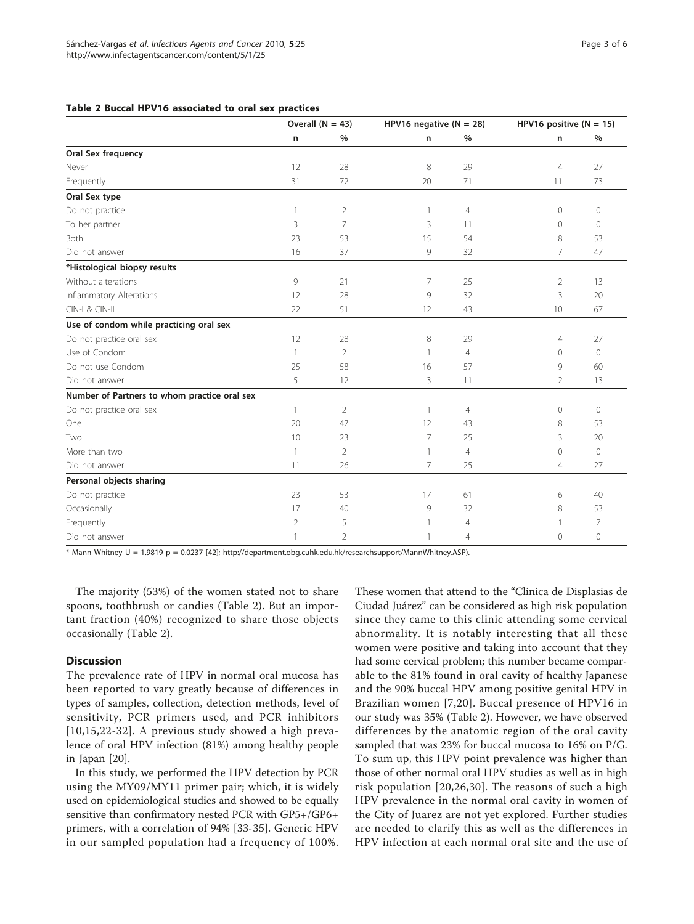# <span id="page-2-0"></span>Table 2 Buccal HPV16 associated to oral sex practices

|                                              | Overall $(N = 43)$ |                | HPV16 negative $(N = 28)$ |                | HPV16 positive $(N = 15)$ |                |
|----------------------------------------------|--------------------|----------------|---------------------------|----------------|---------------------------|----------------|
|                                              | $\mathsf n$        | $\%$           | n                         | $\%$           | n                         | $\%$           |
| Oral Sex frequency                           |                    |                |                           |                |                           |                |
| Never                                        | 12                 | 28             | 8                         | 29             | $\overline{4}$            | 27             |
| Frequently                                   | 31                 | 72             | 20                        | 71             | 11                        | 73             |
| Oral Sex type                                |                    |                |                           |                |                           |                |
| Do not practice                              | 1                  | $\overline{2}$ | $\mathbf{1}$              | $\overline{4}$ | $\circ$                   | 0              |
| To her partner                               | 3                  | 7              | 3                         | 11             | $\Omega$                  | $\Omega$       |
| Both                                         | 23                 | 53             | 15                        | 54             | 8                         | 53             |
| Did not answer                               | 16                 | 37             | 9                         | 32             | 7                         | 47             |
| *Histological biopsy results                 |                    |                |                           |                |                           |                |
| Without alterations                          | 9                  | 21             | $\overline{7}$            | 25             | 2                         | 13             |
| Inflammatory Alterations                     | 12                 | 28             | 9                         | 32             | 3                         | 20             |
| CIN-I & CIN-II                               | 22                 | 51             | 12                        | 43             | 10                        | 67             |
| Use of condom while practicing oral sex      |                    |                |                           |                |                           |                |
| Do not practice oral sex                     | 12                 | 28             | 8                         | 29             | $\overline{4}$            | 27             |
| Use of Condom                                | 1                  | $\overline{2}$ | 1                         | $\overline{4}$ | $\Omega$                  | $\Omega$       |
| Do not use Condom                            | 25                 | 58             | 16                        | 57             | $\mathsf{Q}$              | 60             |
| Did not answer                               | 5                  | 12             | 3                         | 11             | 2                         | 13             |
| Number of Partners to whom practice oral sex |                    |                |                           |                |                           |                |
| Do not practice oral sex                     | 1                  | $\overline{2}$ | $\mathbf{1}$              | $\overline{4}$ | $\Omega$                  | $\mathbf{0}$   |
| One                                          | 20                 | 47             | 12                        | 43             | 8                         | 53             |
| Two                                          | 10                 | 23             | $\overline{7}$            | 25             | 3                         | 20             |
| More than two                                | 1                  | $\overline{2}$ | $\mathbf{1}$              | $\overline{4}$ | $\Omega$                  | $\circ$        |
| Did not answer                               | 11                 | 26             | $\overline{7}$            | 25             | $\overline{4}$            | 27             |
| Personal objects sharing                     |                    |                |                           |                |                           |                |
| Do not practice                              | 23                 | 53             | 17                        | 61             | 6                         | 40             |
| Occasionally                                 | 17                 | 40             | 9                         | 32             | 8                         | 53             |
| Frequently                                   | $\overline{2}$     | 5              | 1                         | 4              |                           | $\overline{7}$ |
| Did not answer                               | 1                  | $\overline{2}$ | 1                         | $\overline{4}$ | 0                         | $\circ$        |

\* Mann Whitney U = 1.9819 p = 0.0237 [[42\]](#page-5-0); [http://department.obg.cuhk.edu.hk/researchsupport/MannWhitney.ASP\)](http://www.infectagentscancer.com/content/5/1/25).

The majority (53%) of the women stated not to share spoons, toothbrush or candies (Table 2). But an important fraction (40%) recognized to share those objects occasionally (Table 2).

# **Discussion**

The prevalence rate of HPV in normal oral mucosa has been reported to vary greatly because of differences in types of samples, collection, detection methods, level of sensitivity, PCR primers used, and PCR inhibitors [[10](#page-4-0),[15](#page-4-0),[22-32](#page-5-0)]. A previous study showed a high prevalence of oral HPV infection (81%) among healthy people in Japan [[20](#page-4-0)].

In this study, we performed the HPV detection by PCR using the MY09/MY11 primer pair; which, it is widely used on epidemiological studies and showed to be equally sensitive than confirmatory nested PCR with GP5+/GP6+ primers, with a correlation of 94% [[33-35](#page-5-0)]. Generic HPV in our sampled population had a frequency of 100%. These women that attend to the "Clinica de Displasias de Ciudad Juárez" can be considered as high risk population since they came to this clinic attending some cervical abnormality. It is notably interesting that all these women were positive and taking into account that they had some cervical problem; this number became comparable to the 81% found in oral cavity of healthy Japanese and the 90% buccal HPV among positive genital HPV in Brazilian women [\[7](#page-4-0),[20](#page-4-0)]. Buccal presence of HPV16 in our study was 35% (Table 2). However, we have observed differences by the anatomic region of the oral cavity sampled that was 23% for buccal mucosa to 16% on P/G. To sum up, this HPV point prevalence was higher than those of other normal oral HPV studies as well as in high risk population [[20](#page-4-0),[26](#page-5-0),[30](#page-5-0)]. The reasons of such a high HPV prevalence in the normal oral cavity in women of the City of Juarez are not yet explored. Further studies are needed to clarify this as well as the differences in HPV infection at each normal oral site and the use of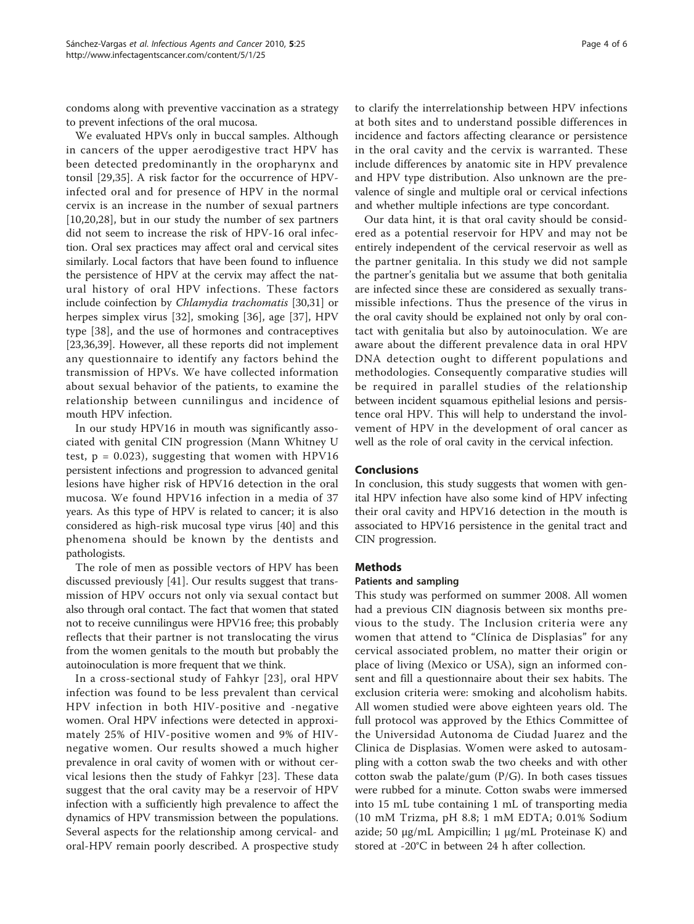condoms along with preventive vaccination as a strategy to prevent infections of the oral mucosa.

We evaluated HPVs only in buccal samples. Although in cancers of the upper aerodigestive tract HPV has been detected predominantly in the oropharynx and tonsil [\[29](#page-5-0),[35\]](#page-5-0). A risk factor for the occurrence of HPVinfected oral and for presence of HPV in the normal cervix is an increase in the number of sexual partners [[10,20](#page-4-0)[,28](#page-5-0)], but in our study the number of sex partners did not seem to increase the risk of HPV-16 oral infection. Oral sex practices may affect oral and cervical sites similarly. Local factors that have been found to influence the persistence of HPV at the cervix may affect the natural history of oral HPV infections. These factors include coinfection by Chlamydia trachomatis [[30,31](#page-5-0)] or herpes simplex virus [[32\]](#page-5-0), smoking [[36\]](#page-5-0), age [\[37\]](#page-5-0), HPV type [\[38](#page-5-0)], and the use of hormones and contraceptives [[23,36,39\]](#page-5-0). However, all these reports did not implement any questionnaire to identify any factors behind the transmission of HPVs. We have collected information about sexual behavior of the patients, to examine the relationship between cunnilingus and incidence of mouth HPV infection.

In our study HPV16 in mouth was significantly associated with genital CIN progression (Mann Whitney U test,  $p = 0.023$ ), suggesting that women with HPV16 persistent infections and progression to advanced genital lesions have higher risk of HPV16 detection in the oral mucosa. We found HPV16 infection in a media of 37 years. As this type of HPV is related to cancer; it is also considered as high-risk mucosal type virus [[40\]](#page-5-0) and this phenomena should be known by the dentists and pathologists.

The role of men as possible vectors of HPV has been discussed previously [\[41](#page-5-0)]. Our results suggest that transmission of HPV occurs not only via sexual contact but also through oral contact. The fact that women that stated not to receive cunnilingus were HPV16 free; this probably reflects that their partner is not translocating the virus from the women genitals to the mouth but probably the autoinoculation is more frequent that we think.

In a cross-sectional study of Fahkyr [[23](#page-5-0)], oral HPV infection was found to be less prevalent than cervical HPV infection in both HIV-positive and -negative women. Oral HPV infections were detected in approximately 25% of HIV-positive women and 9% of HIVnegative women. Our results showed a much higher prevalence in oral cavity of women with or without cervical lesions then the study of Fahkyr [[23\]](#page-5-0). These data suggest that the oral cavity may be a reservoir of HPV infection with a sufficiently high prevalence to affect the dynamics of HPV transmission between the populations. Several aspects for the relationship among cervical- and oral-HPV remain poorly described. A prospective study

to clarify the interrelationship between HPV infections at both sites and to understand possible differences in incidence and factors affecting clearance or persistence in the oral cavity and the cervix is warranted. These include differences by anatomic site in HPV prevalence and HPV type distribution. Also unknown are the prevalence of single and multiple oral or cervical infections and whether multiple infections are type concordant.

Our data hint, it is that oral cavity should be considered as a potential reservoir for HPV and may not be entirely independent of the cervical reservoir as well as the partner genitalia. In this study we did not sample the partner's genitalia but we assume that both genitalia are infected since these are considered as sexually transmissible infections. Thus the presence of the virus in the oral cavity should be explained not only by oral contact with genitalia but also by autoinoculation. We are aware about the different prevalence data in oral HPV DNA detection ought to different populations and methodologies. Consequently comparative studies will be required in parallel studies of the relationship between incident squamous epithelial lesions and persistence oral HPV. This will help to understand the involvement of HPV in the development of oral cancer as well as the role of oral cavity in the cervical infection.

# Conclusions

In conclusion, this study suggests that women with genital HPV infection have also some kind of HPV infecting their oral cavity and HPV16 detection in the mouth is associated to HPV16 persistence in the genital tract and CIN progression.

## Methods

# Patients and sampling

This study was performed on summer 2008. All women had a previous CIN diagnosis between six months previous to the study. The Inclusion criteria were any women that attend to "Clínica de Displasias" for any cervical associated problem, no matter their origin or place of living (Mexico or USA), sign an informed consent and fill a questionnaire about their sex habits. The exclusion criteria were: smoking and alcoholism habits. All women studied were above eighteen years old. The full protocol was approved by the Ethics Committee of the Universidad Autonoma de Ciudad Juarez and the Clinica de Displasias. Women were asked to autosampling with a cotton swab the two cheeks and with other cotton swab the palate/gum  $(P/G)$ . In both cases tissues were rubbed for a minute. Cotton swabs were immersed into 15 mL tube containing 1 mL of transporting media (10 mM Trizma, pH 8.8; 1 mM EDTA; 0.01% Sodium azide; 50 μg/mL Ampicillin; 1 μg/mL Proteinase K) and stored at -20°C in between 24 h after collection.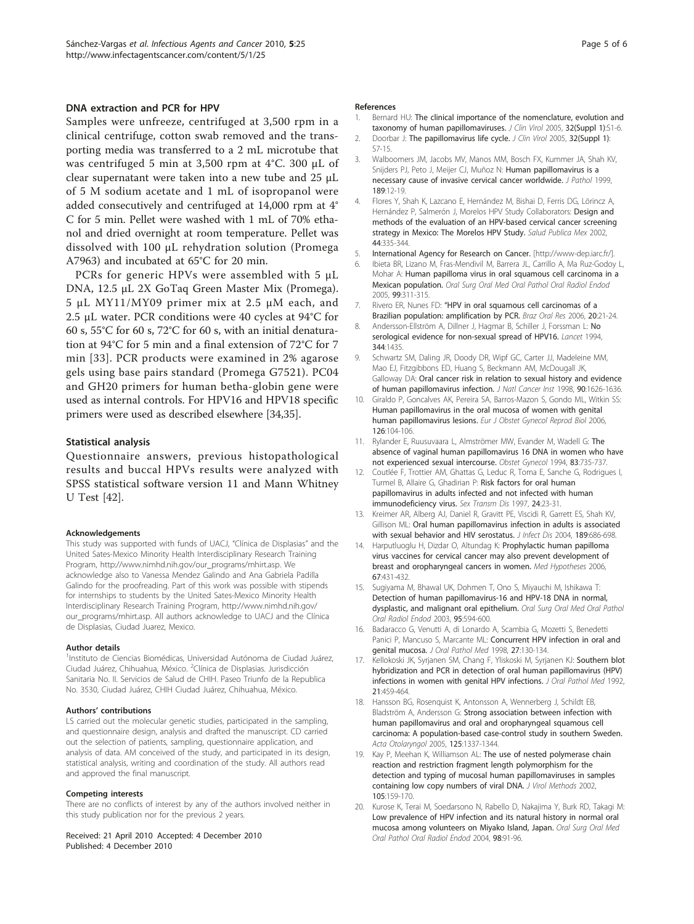#### <span id="page-4-0"></span>DNA extraction and PCR for HPV

Samples were unfreeze, centrifuged at 3,500 rpm in a clinical centrifuge, cotton swab removed and the transporting media was transferred to a 2 mL microtube that was centrifuged 5 min at 3,500 rpm at 4°C. 300 μL of clear supernatant were taken into a new tube and 25 μL of 5 M sodium acetate and 1 mL of isopropanol were added consecutively and centrifuged at 14,000 rpm at 4° C for 5 min. Pellet were washed with 1 mL of 70% ethanol and dried overnight at room temperature. Pellet was dissolved with 100 μL rehydration solution (Promega A7963) and incubated at 65°C for 20 min.

PCRs for generic HPVs were assembled with 5 μL DNA, 12.5 μL 2X GoTaq Green Master Mix (Promega). 5 μL MY11/MY09 primer mix at 2.5 μM each, and 2.5 μL water. PCR conditions were 40 cycles at 94°C for 60 s, 55°C for 60 s, 72°C for 60 s, with an initial denaturation at 94°C for 5 min and a final extension of 72°C for 7 min [[33\]](#page-5-0). PCR products were examined in 2% agarose gels using base pairs standard (Promega G7521). PC04 and GH20 primers for human betha-globin gene were used as internal controls. For HPV16 and HPV18 specific primers were used as described elsewhere [[34,35](#page-5-0)].

#### Statistical analysis

Questionnaire answers, previous histopathological results and buccal HPVs results were analyzed with SPSS statistical software version 11 and Mann Whitney U Test [\[42](#page-5-0)].

#### Acknowledgements

This study was supported with funds of UACJ, "Clínica de Displasias" and the United Sates-Mexico Minority Health Interdisciplinary Research Training Program, [http://www.nimhd.nih.gov/our\\_programs/mhirt.asp](http://www.nimhd.nih.gov/our_programs/mhirt.asp). We acknowledge also to Vanessa Mendez Galindo and Ana Gabriela Padilla Galindo for the proofreading. Part of this work was possible with stipends for internships to students by the United Sates-Mexico Minority Health Interdisciplinary Research Training Program, [http://www.nimhd.nih.gov/](http://www.nimhd.nih.gov/our_programs/mhirt.asp) [our\\_programs/mhirt.asp](http://www.nimhd.nih.gov/our_programs/mhirt.asp). All authors acknowledge to UACJ and the Clínica de Displasias, Ciudad Juarez, Mexico.

#### Author details

<sup>1</sup>Instituto de Ciencias Biomédicas, Universidad Autónoma de Ciudad Juárez, Ciudad Juárez, Chihuahua, México. <sup>2</sup>Clínica de Displasias. Jurisdicción Sanitaria No. II. Servicios de Salud de CHIH. Paseo Triunfo de la Republica No. 3530, Ciudad Juárez, CHIH Ciudad Juárez, Chihuahua, México.

#### Authors' contributions

LS carried out the molecular genetic studies, participated in the sampling, and questionnaire design, analysis and drafted the manuscript. CD carried out the selection of patients, sampling, questionnaire application, and analysis of data. AM conceived of the study, and participated in its design, statistical analysis, writing and coordination of the study. All authors read and approved the final manuscript.

#### Competing interests

There are no conflicts of interest by any of the authors involved neither in this study publication nor for the previous 2 years.

Received: 21 April 2010 Accepted: 4 December 2010 Published: 4 December 2010

#### References

- 1. Bernard HU: [The clinical importance of the nomenclature, evolution and](http://www.ncbi.nlm.nih.gov/pubmed/15753006?dopt=Abstract) [taxonomy of human papillomaviruses.](http://www.ncbi.nlm.nih.gov/pubmed/15753006?dopt=Abstract) J Clin Virol 2005, 32(Suppl 1):S1-6.
- 2. Doorbar J: [The papillomavirus life cycle.](http://www.ncbi.nlm.nih.gov/pubmed/15753007?dopt=Abstract) J Clin Virol 2005, 32(Suppl 1): S7-15.
- 3. Walboomers JM, Jacobs MV, Manos MM, Bosch FX, Kummer JA, Shah KV, Snijders PJ, Peto J, Meijer CJ, Muñoz N: [Human papillomavirus is a](http://www.ncbi.nlm.nih.gov/pubmed/10451482?dopt=Abstract) [necessary cause of invasive cervical cancer worldwide.](http://www.ncbi.nlm.nih.gov/pubmed/10451482?dopt=Abstract) J Pathol 1999, 189:12-19.
- 4. Flores Y, Shah K, Lazcano E, Hernández M, Bishai D, Ferris DG, Lörincz A, Hernández P, Salmerón J, Morelos HPV Study Collaborators: [Design and](http://www.ncbi.nlm.nih.gov/pubmed/12216521?dopt=Abstract) [methods of the evaluation of an HPV-based cervical cancer screening](http://www.ncbi.nlm.nih.gov/pubmed/12216521?dopt=Abstract) [strategy in Mexico: The Morelos HPV Study.](http://www.ncbi.nlm.nih.gov/pubmed/12216521?dopt=Abstract) Salud Publica Mex 2002, 44:335-344.
- 5. International Agency for Research on Cancer. [[http://www-dep.iarc.fr/\]](http://www-dep.iarc.fr/).
- Ibieta BR, Lizano M, Fras-Mendivil M, Barrera JL, Carrillo A, Ma Ruz-Godoy L, Mohar A: [Human papilloma virus in oral squamous cell carcinoma in a](http://www.ncbi.nlm.nih.gov/pubmed/15716837?dopt=Abstract) [Mexican population.](http://www.ncbi.nlm.nih.gov/pubmed/15716837?dopt=Abstract) Oral Surg Oral Med Oral Pathol Oral Radiol Endod 2005, 99:311-315.
- 7. Rivero ER, Nunes FD: "[HPV in oral squamous cell carcinomas of a](http://www.ncbi.nlm.nih.gov/pubmed/16729170?dopt=Abstract) [Brazilian population: amplification by PCR.](http://www.ncbi.nlm.nih.gov/pubmed/16729170?dopt=Abstract) Braz Oral Res 2006, 20:21-24.
- 8. Andersson-Ellström A, Dillner J, Hagmar B, Schiller J, Forssman L: No serological evidence for non-sexual spread of HPV16. Lancet 1994. 344:1435.
- 9. Schwartz SM, Daling JR, Doody DR, Wipf GC, Carter JJ, Madeleine MM, Mao EJ, Fitzgibbons ED, Huang S, Beckmann AM, McDougall JK, Galloway DA: [Oral cancer risk in relation to sexual history and evidence](http://www.ncbi.nlm.nih.gov/pubmed/9811312?dopt=Abstract) [of human papillomavirus infection.](http://www.ncbi.nlm.nih.gov/pubmed/9811312?dopt=Abstract) J Natl Cancer Inst 1998, 90:1626-1636.
- 10. Giraldo P, Goncalves AK, Pereira SA, Barros-Mazon S, Gondo ML, Witkin SS: [Human papillomavirus in the oral mucosa of women with genital](http://www.ncbi.nlm.nih.gov/pubmed/16324781?dopt=Abstract) [human papillomavirus lesions.](http://www.ncbi.nlm.nih.gov/pubmed/16324781?dopt=Abstract) Eur J Obstet Gynecol Reprod Biol 2006, 126:104-106.
- 11. Rylander E, Ruusuvaara L, Almströmer MW, Evander M, Wadell G: [The](http://www.ncbi.nlm.nih.gov/pubmed/8164934?dopt=Abstract) [absence of vaginal human papillomavirus 16 DNA in women who have](http://www.ncbi.nlm.nih.gov/pubmed/8164934?dopt=Abstract) [not experienced sexual intercourse.](http://www.ncbi.nlm.nih.gov/pubmed/8164934?dopt=Abstract) Obstet Gynecol 1994, 83:735-737.
- 12. Coutlée F, Trottier AM, Ghattas G, Leduc R, Toma E, Sanche G, Rodrigues I, Turmel B, Allaire G, Ghadirian P: [Risk factors for oral human](http://www.ncbi.nlm.nih.gov/pubmed/9018780?dopt=Abstract) [papillomavirus in adults infected and not infected with human](http://www.ncbi.nlm.nih.gov/pubmed/9018780?dopt=Abstract) [immunodeficiency virus.](http://www.ncbi.nlm.nih.gov/pubmed/9018780?dopt=Abstract) Sex Transm Dis 1997, 24:23-31.
- 13. Kreimer AR, Alberg AJ, Daniel R, Gravitt PE, Viscidi R, Garrett ES, Shah KV, Gillison ML: [Oral human papillomavirus infection in adults is associated](http://www.ncbi.nlm.nih.gov/pubmed/14767823?dopt=Abstract) [with sexual behavior and HIV serostatus.](http://www.ncbi.nlm.nih.gov/pubmed/14767823?dopt=Abstract) J Infect Dis 2004, 189:686-698.
- 14. Harputluoglu H, Dizdar O, Altundag K: [Prophylactic human papilloma](http://www.ncbi.nlm.nih.gov/pubmed/16678979?dopt=Abstract) [virus vaccines for cervical cancer may also prevent development of](http://www.ncbi.nlm.nih.gov/pubmed/16678979?dopt=Abstract) [breast and oropharyngeal cancers in women.](http://www.ncbi.nlm.nih.gov/pubmed/16678979?dopt=Abstract) Med Hypotheses 2006, 67:431-432.
- 15. Sugiyama M, Bhawal UK, Dohmen T, Ono S, Miyauchi M, Ishikawa T: [Detection of human papillomavirus-16 and HPV-18 DNA in normal,](http://www.ncbi.nlm.nih.gov/pubmed/12738951?dopt=Abstract) [dysplastic, and malignant oral epithelium.](http://www.ncbi.nlm.nih.gov/pubmed/12738951?dopt=Abstract) Oral Surg Oral Med Oral Pathol Oral Radiol Endod 2003, 95:594-600.
- 16. Badaracco G, Venutti A, di Lonardo A, Scambia G, Mozetti S, Benedetti Panici P, Mancuso S, Marcante ML: [Concurrent HPV infection in oral and](http://www.ncbi.nlm.nih.gov/pubmed/9563805?dopt=Abstract) [genital mucosa.](http://www.ncbi.nlm.nih.gov/pubmed/9563805?dopt=Abstract) J Oral Pathol Med 1998, 27:130-134.
- 17. Kellokoski JK, Syrjanen SM, Chang F, Yliskoski M, Syrjanen KJ: [Southern blot](http://www.ncbi.nlm.nih.gov/pubmed/1334147?dopt=Abstract) [hybridization and PCR in detection of oral human papillomavirus \(HPV\)](http://www.ncbi.nlm.nih.gov/pubmed/1334147?dopt=Abstract) [infections in women with genital HPV infections.](http://www.ncbi.nlm.nih.gov/pubmed/1334147?dopt=Abstract) J Oral Pathol Med 1992, 21:459-464.
- 18. Hansson BG, Rosenquist K, Antonsson A, Wennerberg J, Schildt EB, Bladström A, Andersson G: [Strong association between infection with](http://www.ncbi.nlm.nih.gov/pubmed/16303684?dopt=Abstract) [human papillomavirus and oral and oropharyngeal squamous cell](http://www.ncbi.nlm.nih.gov/pubmed/16303684?dopt=Abstract) [carcinoma: A population-based case-control study in southern Sweden.](http://www.ncbi.nlm.nih.gov/pubmed/16303684?dopt=Abstract) Acta Otolaryngol 2005, 125:1337-1344.
- 19. Kay P, Meehan K, Williamson AL: [The use of nested polymerase chain](http://www.ncbi.nlm.nih.gov/pubmed/12176153?dopt=Abstract) [reaction and restriction fragment length polymorphism for the](http://www.ncbi.nlm.nih.gov/pubmed/12176153?dopt=Abstract) [detection and typing of mucosal human papillomaviruses in samples](http://www.ncbi.nlm.nih.gov/pubmed/12176153?dopt=Abstract) [containing low copy numbers of viral DNA.](http://www.ncbi.nlm.nih.gov/pubmed/12176153?dopt=Abstract) J Virol Methods 2002, 105:159-170.
- 20. Kurose K, Terai M, Soedarsono N, Rabello D, Nakajima Y, Burk RD, Takagi M: [Low prevalence of HPV infection and its natural history in normal oral](http://www.ncbi.nlm.nih.gov/pubmed/15243477?dopt=Abstract) [mucosa among volunteers on Miyako Island, Japan.](http://www.ncbi.nlm.nih.gov/pubmed/15243477?dopt=Abstract) Oral Surg Oral Med Oral Pathol Oral Radiol Endod 2004, 98:91-96.